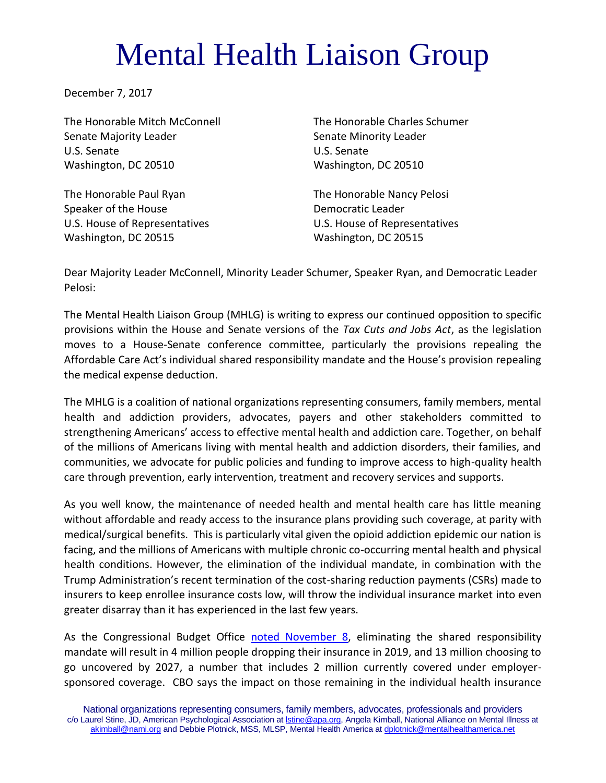## Mental Health Liaison Group

December 7, 2017

The Honorable Mitch McConnell The Honorable Charles Schumer Senate Majority Leader Senate Minority Leader U.S. Senate U.S. Senate Washington, DC 20510 Washington, DC 20510

The Honorable Paul Ryan The Honorable Nancy Pelosi Speaker of the House **Democratic Leader** U.S. House of Representatives U.S. House of Representatives Washington, DC 20515 Washington, DC 20515

Dear Majority Leader McConnell, Minority Leader Schumer, Speaker Ryan, and Democratic Leader Pelosi:

The Mental Health Liaison Group (MHLG) is writing to express our continued opposition to specific provisions within the House and Senate versions of the *Tax Cuts and Jobs Act*, as the legislation moves to a House-Senate conference committee, particularly the provisions repealing the Affordable Care Act's individual shared responsibility mandate and the House's provision repealing the medical expense deduction.

The MHLG is a coalition of national organizations representing consumers, family members, mental health and addiction providers, advocates, payers and other stakeholders committed to strengthening Americans' access to effective mental health and addiction care. Together, on behalf of the millions of Americans living with mental health and addiction disorders, their families, and communities, we advocate for public policies and funding to improve access to high-quality health care through prevention, early intervention, treatment and recovery services and supports.

As you well know, the maintenance of needed health and mental health care has little meaning without affordable and ready access to the insurance plans providing such coverage, at parity with medical/surgical benefits. This is particularly vital given the opioid addiction epidemic our nation is facing, and the millions of Americans with multiple chronic co-occurring mental health and physical health conditions. However, the elimination of the individual mandate, in combination with the Trump Administration's recent termination of the cost-sharing reduction payments (CSRs) made to insurers to keep enrollee insurance costs low, will throw the individual insurance market into even greater disarray than it has experienced in the last few years.

As the Congressional Budget Office [noted November 8,](https://www.cbo.gov/publication/53300) eliminating the shared responsibility mandate will result in 4 million people dropping their insurance in 2019, and 13 million choosing to go uncovered by 2027, a number that includes 2 million currently covered under employersponsored coverage. CBO says the impact on those remaining in the individual health insurance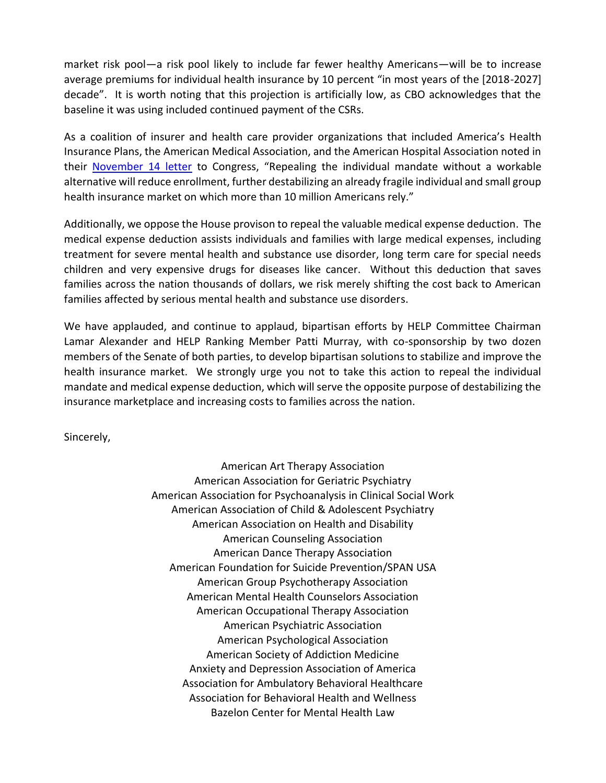market risk pool—a risk pool likely to include far fewer healthy Americans—will be to increase average premiums for individual health insurance by 10 percent "in most years of the [2018-2027] decade". It is worth noting that this projection is artificially low, as CBO acknowledges that the baseline it was using included continued payment of the CSRs.

As a coalition of insurer and health care provider organizations that included America's Health Insurance Plans, the American Medical Association, and the American Hospital Association noted in their [November 14 letter](https://www.ahip.org/wp-content/uploads/2017/11/IM-Coalition-Letter-11_14_2017.pdf) to Congress, "Repealing the individual mandate without a workable alternative will reduce enrollment, further destabilizing an already fragile individual and small group health insurance market on which more than 10 million Americans rely."

Additionally, we oppose the House provison to repeal the valuable medical expense deduction. The medical expense deduction assists individuals and families with large medical expenses, including treatment for severe mental health and substance use disorder, long term care for special needs children and very expensive drugs for diseases like cancer. Without this deduction that saves families across the nation thousands of dollars, we risk merely shifting the cost back to American families affected by serious mental health and substance use disorders.

We have applauded, and continue to applaud, bipartisan efforts by HELP Committee Chairman Lamar Alexander and HELP Ranking Member Patti Murray, with co-sponsorship by two dozen members of the Senate of both parties, to develop bipartisan solutions to stabilize and improve the health insurance market. We strongly urge you not to take this action to repeal the individual mandate and medical expense deduction, which will serve the opposite purpose of destabilizing the insurance marketplace and increasing costs to families across the nation.

Sincerely,

American Art Therapy Association American Association for Geriatric Psychiatry American Association for Psychoanalysis in Clinical Social Work American Association of Child & Adolescent Psychiatry American Association on Health and Disability American Counseling Association American Dance Therapy Association American Foundation for Suicide Prevention/SPAN USA American Group Psychotherapy Association American Mental Health Counselors Association American Occupational Therapy Association American Psychiatric Association American Psychological Association American Society of Addiction Medicine Anxiety and Depression Association of America Association for Ambulatory Behavioral Healthcare Association for Behavioral Health and Wellness Bazelon Center for Mental Health Law